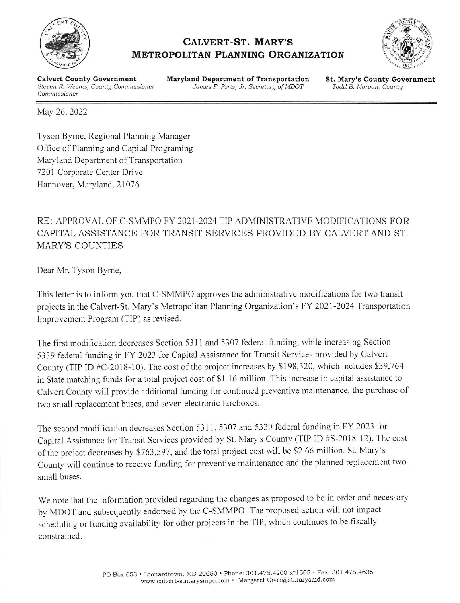

## CALVERT-ST. MARY'S **METROPOLITAN PLANNING ORGANIZATION**



**Calvert County Government** Steven R. Weems, County Commissioner Commissioner

**Maryland Department of Transportation** James F. Ports, Jr. Secretary of MDOT

**St. Mary's County Government** Todd B. Morgan, County

May 26, 2022

Tyson Byrne, Regional Planning Manager Office of Planning and Capital Programing Maryland Department of Transportation 7201 Corporate Center Drive Hannover, Maryland, 21076

## RE: APPROVAL OF C-SMMPO FY 2021-2024 TIP ADMINISTRATIVE MODIFICATIONS FOR CAPITAL ASSISTANCE FOR TRANSIT SERVICES PROVIDED BY CALVERT AND ST. **MARY'S COUNTIES**

Dear Mr. Tyson Byrne,

This letter is to inform you that C-SMMPO approves the administrative modifications for two transit projects in the Calvert-St. Mary's Metropolitan Planning Organization's FY 2021-2024 Transportation Improvement Program (TIP) as revised.

The first modification decreases Section 5311 and 5307 federal funding, while increasing Section 5339 federal funding in FY 2023 for Capital Assistance for Transit Services provided by Calvert County (TIP ID #C-2018-10). The cost of the project increases by \$198,320, which includes \$39,764 in State matching funds for a total project cost of \$1.16 million. This increase in capital assistance to Calvert County will provide additional funding for continued preventive maintenance, the purchase of two small replacement buses, and seven electronic fareboxes.

The second modification decreases Section 5311, 5307 and 5339 federal funding in FY 2023 for Capital Assistance for Transit Services provided by St. Mary's County (TIP ID #S-2018-12). The cost of the project decreases by \$763,597, and the total project cost will be \$2.66 million. St. Mary's County will continue to receive funding for preventive maintenance and the planned replacement two small buses.

We note that the information provided regarding the changes as proposed to be in order and necessary by MDOT and subsequently endorsed by the C-SMMPO. The proposed action will not impact scheduling or funding availability for other projects in the TIP, which continues to be fiscally constrained.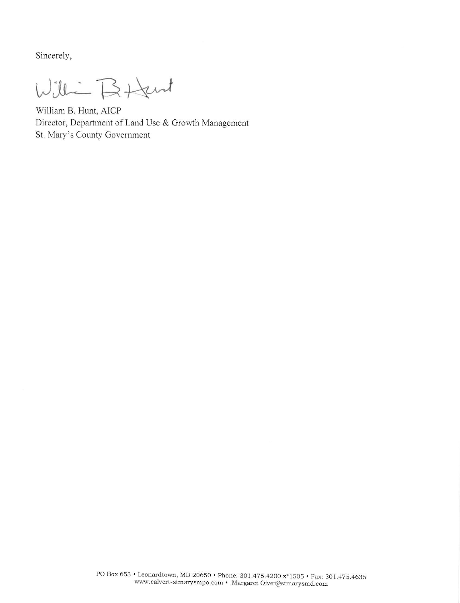Sincerely,

Willie Batent

William B. Hunt, AICP Director, Department of Land Use & Growth Management St. Mary's County Government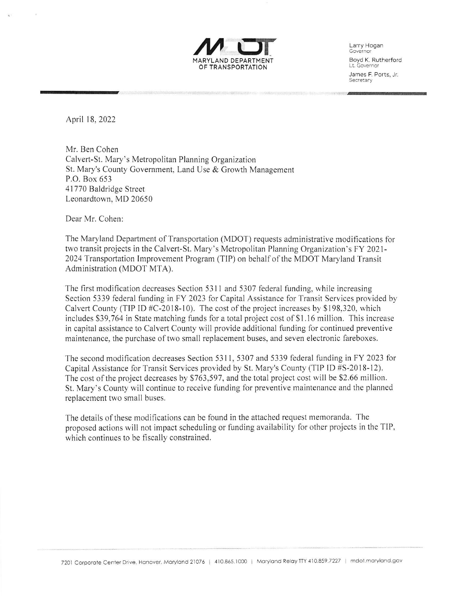

Larry Hogan<br>Governor Boyd K. Rutherford<br>Lt. Governor James F. Ports, Jr.<br>Secretary

 $\overline{\phantom{a}}$ 

April 18. 2022

Mr. Ben Cohen Calvert-St. Mary's Metropolitan Planning Organization St. Mary's County Government, Land Use & Crowth Management P.O. Box 653 4l 770 Baldridge Street Leonardtown. MD 20650

Dear Mr. Cohen:

The Maryland Departrnent of Transportation (MDOT) requests administrative modifications for two transit projects in the Calvert-St. Mary's Metropolitan Pianning Organization's FY 2021- 2024 Transportation Improvement Program (TIP) on behalf of the MDOT Maryland Transit Administration (MDOT MTA).

The first modification decreases Section 5311 and 5307 federal funding, while increasing Section 5339 federal funding in FY 2023 for Capital Assistance for Transit Services provided by Calvert County (TIP ID  $#C-2018-10$ ). The cost of the project increases by \$198,320, which includes  $$39,764$  in State matching funds for a total project cost of  $$1.16$  million. This increase in capital assistance to Calvert County will provide additional funding for continued preventive maintenance, the purchase of two small replacement buses, and seven electronic fareboxes.

The second modification decreases Section 5311, 5307 and 5339 federal funding in FY 2023 for Capital Assistance for Transit Services provided by St. Mary's County (TIP ID #S-2018-12). The cost of the project decreases by \$763,597, and the total project cost will be \$2.66 million. St. Mary's County will continue to receive funding for preventive maintenance and the planned replacement two small buses.

The details of these modifications can be found in the attached request memoranda. The proposed actions will not impact scheduling or funding availability for other projects in the TIP, which continues to be fiscally constrained.